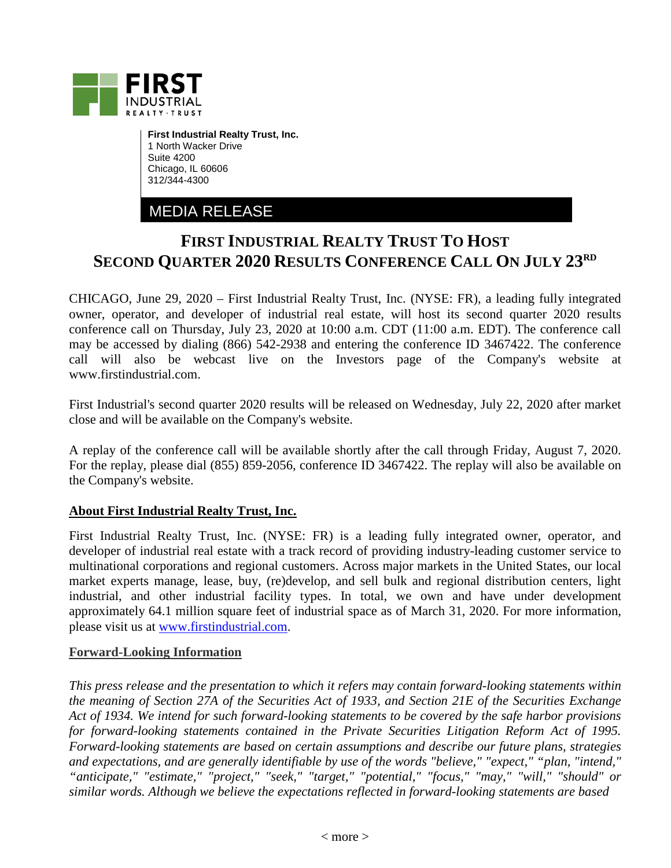

**First Industrial Realty Trust, Inc.** 1 North Wacker Drive Suite 4200 Chicago, IL 60606 312/344-4300

MEDIA RELEASE

## **FIRST INDUSTRIAL REALTY TRUST TO HOST SECOND QUARTER 2020 RESULTS CONFERENCE CALL ON JULY 23RD**

CHICAGO, June 29, 2020 – First Industrial Realty Trust, Inc. (NYSE: FR), a leading fully integrated owner, operator, and developer of industrial real estate, will host its second quarter 2020 results conference call on Thursday, July 23, 2020 at 10:00 a.m. CDT (11:00 a.m. EDT). The conference call may be accessed by dialing (866) 542-2938 and entering the conference ID 3467422. The conference call will also be webcast live on the Investors page of the Company's website at www.firstindustrial.com.

First Industrial's second quarter 2020 results will be released on Wednesday, July 22, 2020 after market close and will be available on the Company's website.

A replay of the conference call will be available shortly after the call through Friday, August 7, 2020. For the replay, please dial (855) 859-2056, conference ID 3467422. The replay will also be available on the Company's website.

## **About First Industrial Realty Trust, Inc.**

First Industrial Realty Trust, Inc. (NYSE: FR) is a leading fully integrated owner, operator, and developer of industrial real estate with a track record of providing industry-leading customer service to multinational corporations and regional customers. Across major markets in the United States, our local market experts manage, lease, buy, (re)develop, and sell bulk and regional distribution centers, light industrial, and other industrial facility types. In total, we own and have under development approximately 64.1 million square feet of industrial space as of March 31, 2020. For more information, please visit us at [www.firstindustrial.com.](http://www.firstindustrial.com/)

## **Forward-Looking Information**

*This press release and the presentation to which it refers may contain forward-looking statements within the meaning of Section 27A of the Securities Act of 1933, and Section 21E of the Securities Exchange Act of 1934. We intend for such forward-looking statements to be covered by the safe harbor provisions for forward-looking statements contained in the Private Securities Litigation Reform Act of 1995. Forward-looking statements are based on certain assumptions and describe our future plans, strategies and expectations, and are generally identifiable by use of the words "believe," "expect," "plan, "intend," "anticipate," "estimate," "project," "seek," "target," "potential," "focus," "may," "will," "should" or similar words. Although we believe the expectations reflected in forward-looking statements are based*